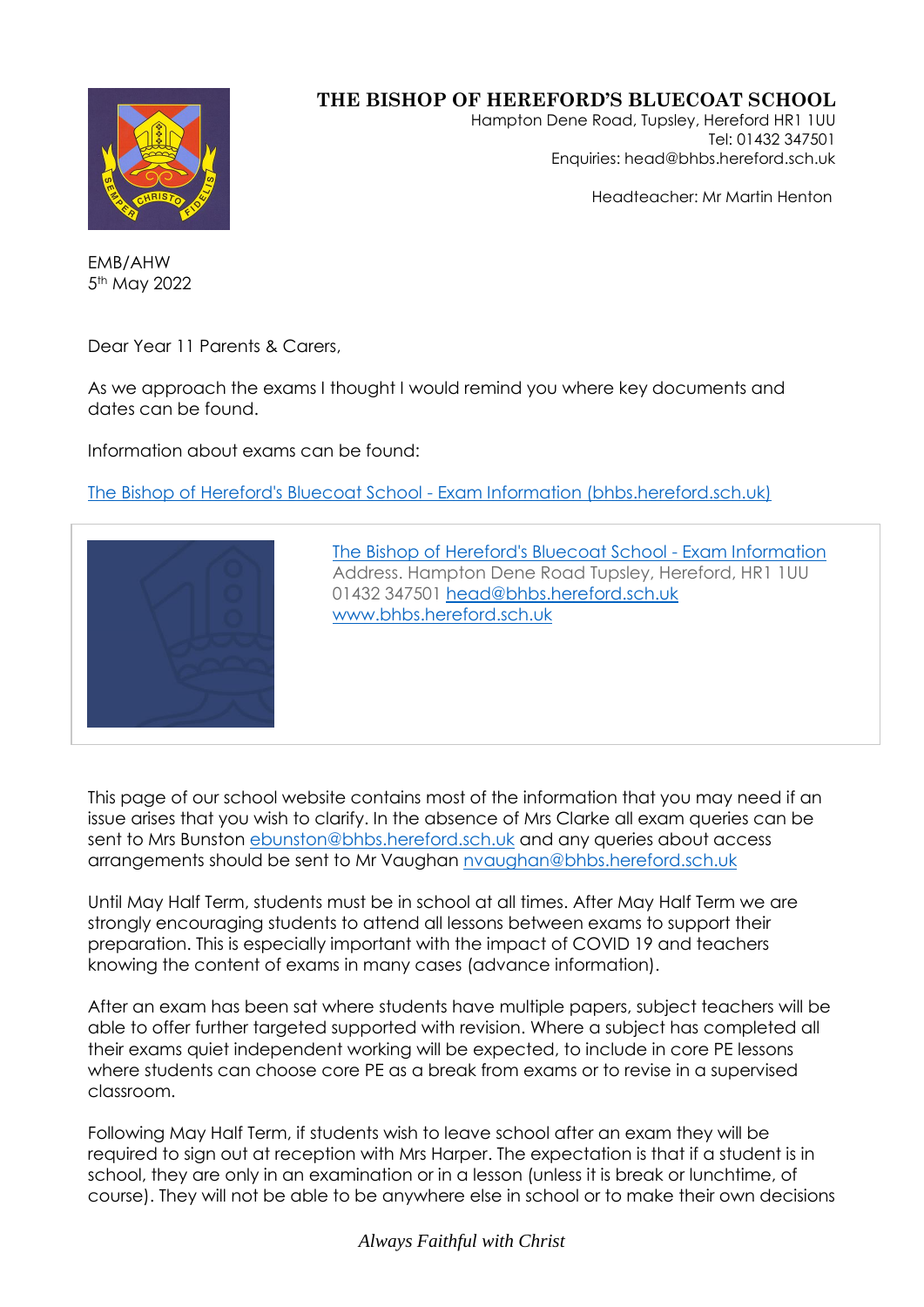

## **THE BISHOP OF HEREFORD'S BLUECOAT SCHOOL**

Hampton Dene Road, Tupsley, Hereford HR1 1UU Tel: 01432 347501 Enquiries: head@bhbs.hereford.sch.uk

Headteacher: Mr Martin Henton

EMB/AHW 5<sup>th</sup> May 2022

Dear Year 11 Parents & Carers,

As we approach the exams I thought I would remind you where key documents and dates can be found.

Information about exams can be found:

[The Bishop of Hereford's Bluecoat School -](http://www.bhbs.hereford.sch.uk/page/?title=Exam+Information&pid=58) Exam Information (bhbs.hereford.sch.uk)



[The Bishop of Hereford's Bluecoat School -](http://www.bhbs.hereford.sch.uk/page/?title=Exam+Information&pid=58) Exam Information Address. Hampton Dene Road Tupsley, Hereford, HR1 1UU 01432 347501 [head@bhbs.hereford.sch.uk](mailto:head@bhbs.hereford.sch.uk) [www.bhbs.hereford.sch.uk](http://www.bhbs.hereford.sch.uk/)

This page of our school website contains most of the information that you may need if an issue arises that you wish to clarify. In the absence of Mrs Clarke all exam queries can be sent to Mrs Bunston [ebunston@bhbs.hereford.sch.uk](mailto:ebunston@bhbs.hereford.sch.uk) and any queries about access arrangements should be sent to Mr Vaughan [nvaughan@bhbs.hereford.sch.uk](mailto:nvaughan@bhbs.hereford.sch.uk)

Until May Half Term, students must be in school at all times. After May Half Term we are strongly encouraging students to attend all lessons between exams to support their preparation. This is especially important with the impact of COVID 19 and teachers knowing the content of exams in many cases (advance information).

After an exam has been sat where students have multiple papers, subject teachers will be able to offer further targeted supported with revision. Where a subject has completed all their exams quiet independent working will be expected, to include in core PE lessons where students can choose core PE as a break from exams or to revise in a supervised classroom.

Following May Half Term, if students wish to leave school after an exam they will be required to sign out at reception with Mrs Harper. The expectation is that if a student is in school, they are only in an examination or in a lesson (unless it is break or lunchtime, of course). They will not be able to be anywhere else in school or to make their own decisions

*Always Faithful with Christ*